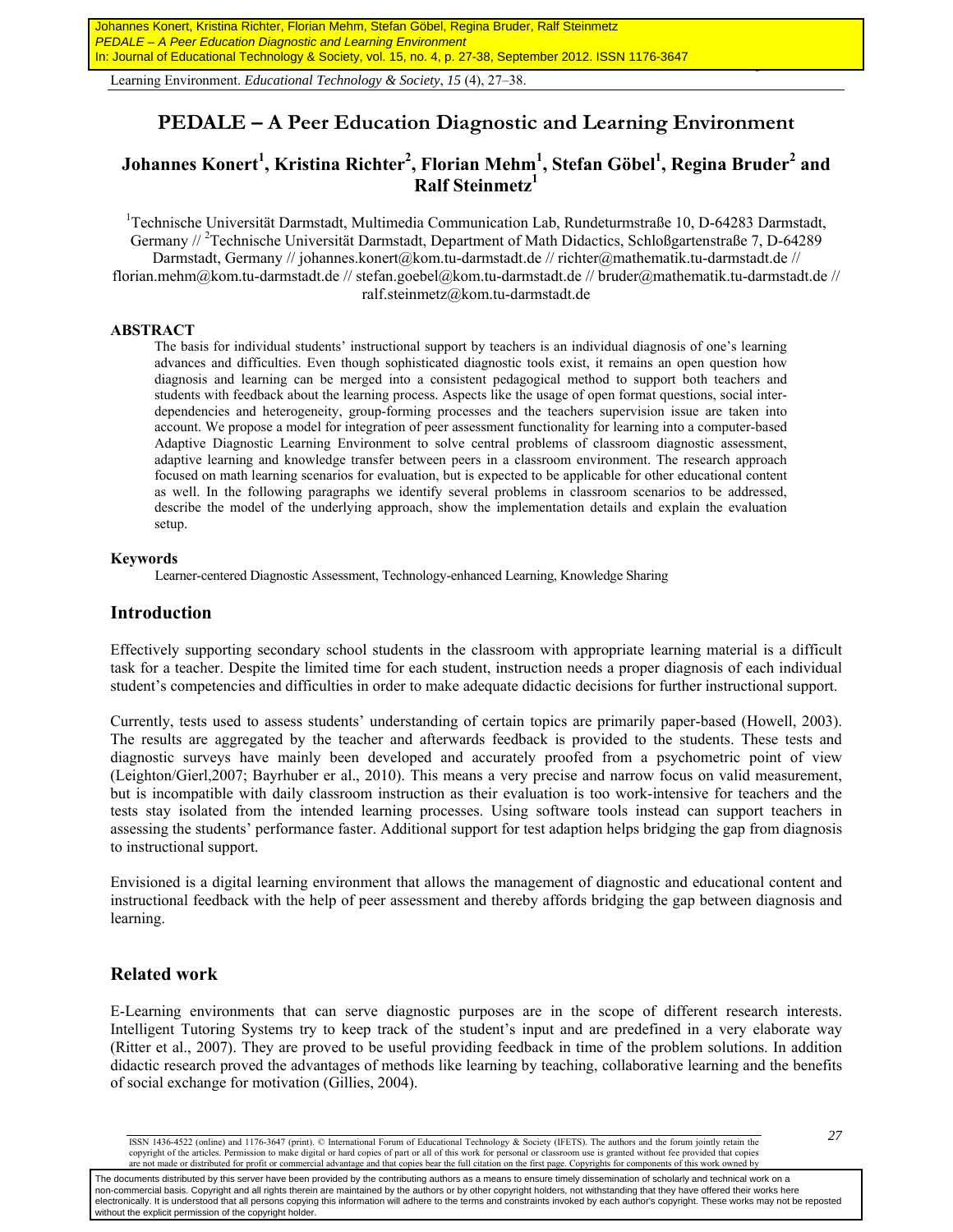Learning Environment. *Educational Technology & Society*, *15* (4), 27–38.

# **PEDALE – A Peer Education Diagnostic and Learning Environment**

# $Johannes Konert<sup>1</sup>, Kristina Richter<sup>2</sup>, Florian Mehm<sup>1</sup>, Stefan Göbel<sup>1</sup>, Regina Bruder<sup>2</sup> and$ **Ralf Steinmetz1**

<sup>1</sup>Technische Universität Darmstadt, Multimedia Communication Lab, Rundeturmstraße 10, D-64283 Darmstadt, Germany //<sup>2</sup>Technische Universität Darmstadt, Department of Math Didactics, Schloßgartenstraße 7, D-64289 Darmstadt, Germany // johannes.konert@kom.tu-darmstadt.de // richter@mathematik.tu-darmstadt.de // florian.mehm@kom.tu-darmstadt.de // stefan.goebel@kom.tu-darmstadt.de // bruder@mathematik.tu-darmstadt.de // ralf.steinmetz@kom.tu-darmstadt.de

#### **ABSTRACT**

The basis for individual students' instructional support by teachers is an individual diagnosis of one's learning advances and difficulties. Even though sophisticated diagnostic tools exist, it remains an open question how diagnosis and learning can be merged into a consistent pedagogical method to support both teachers and students with feedback about the learning process. Aspects like the usage of open format questions, social interdependencies and heterogeneity, group-forming processes and the teachers supervision issue are taken into account. We propose a model for integration of peer assessment functionality for learning into a computer-based Adaptive Diagnostic Learning Environment to solve central problems of classroom diagnostic assessment, adaptive learning and knowledge transfer between peers in a classroom environment. The research approach focused on math learning scenarios for evaluation, but is expected to be applicable for other educational content as well. In the following paragraphs we identify several problems in classroom scenarios to be addressed, describe the model of the underlying approach, show the implementation details and explain the evaluation setup.

#### **Keywords**

Learner-centered Diagnostic Assessment, Technology-enhanced Learning, Knowledge Sharing

### **Introduction**

Effectively supporting secondary school students in the classroom with appropriate learning material is a difficult task for a teacher. Despite the limited time for each student, instruction needs a proper diagnosis of each individual student's competencies and difficulties in order to make adequate didactic decisions for further instructional support.

Currently, tests used to assess students' understanding of certain topics are primarily paper-based (Howell, 2003). The results are aggregated by the teacher and afterwards feedback is provided to the students. These tests and diagnostic surveys have mainly been developed and accurately proofed from a psychometric point of view (Leighton/Gierl,2007; Bayrhuber er al., 2010). This means a very precise and narrow focus on valid measurement, but is incompatible with daily classroom instruction as their evaluation is too work-intensive for teachers and the tests stay isolated from the intended learning processes. Using software tools instead can support teachers in assessing the students' performance faster. Additional support for test adaption helps bridging the gap from diagnosis to instructional support.

Envisioned is a digital learning environment that allows the management of diagnostic and educational content and instructional feedback with the help of peer assessment and thereby affords bridging the gap between diagnosis and learning.

### **Related work**

E-Learning environments that can serve diagnostic purposes are in the scope of different research interests. Intelligent Tutoring Systems try to keep track of the student's input and are predefined in a very elaborate way (Ritter et al., 2007). They are proved to be useful providing feedback in time of the problem solutions. In addition didactic research proved the advantages of methods like learning by teaching, collaborative learning and the benefits of social exchange for motivation (Gillies, 2004).

The documents distributed by this server have been provided by the contributing authors as a means to ensure timely dissemination of scholarly and technical work on a non-commercial basis. Copyright and all rights therein are maintained by the authors or by other copyright holders, not withstanding that they have offered their works here electronically. It is understood that all persons copying this information will adhere to the terms and constraints invoked by each author's copyright. These works may not be reposted without the explicit permission of the copyright holder.

*<sup>27</sup>* ISSN 1436-4522 (online) and 1176-3647 (print). © International Forum of Educational Technology & Society (IFETS). The authors and the forum jointly retain the copyright of the articles. Permission to make digital or hard copies of part or all of this work for personal or classroom use is granted without fee provided that copies are not made or distributed for profit or commercial advantage and that copies bear the full citation on the first page. Copyrights for components of this work owned by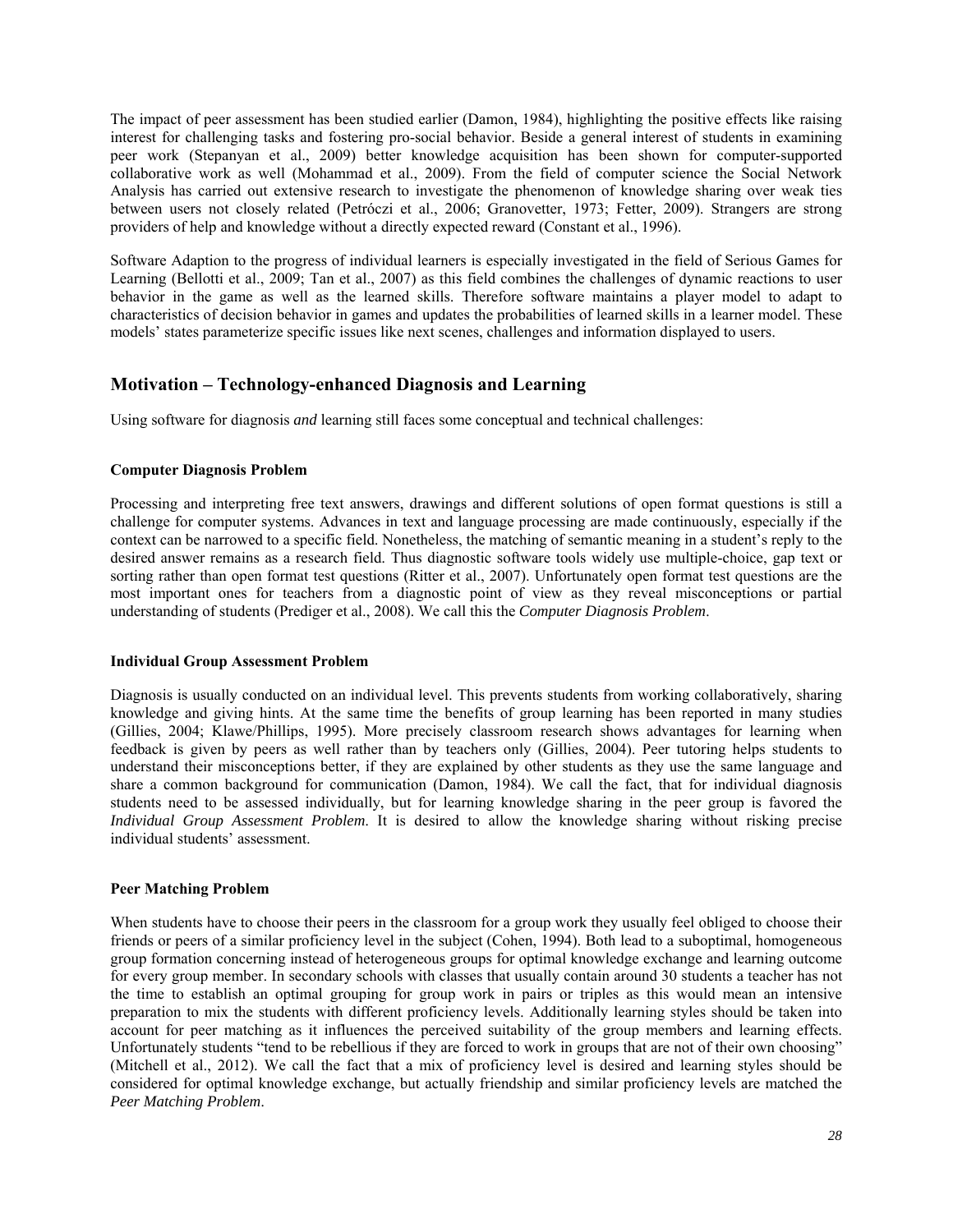The impact of peer assessment has been studied earlier (Damon, 1984), highlighting the positive effects like raising interest for challenging tasks and fostering pro-social behavior. Beside a general interest of students in examining peer work (Stepanyan et al., 2009) better knowledge acquisition has been shown for computer-supported collaborative work as well (Mohammad et al., 2009). From the field of computer science the Social Network Analysis has carried out extensive research to investigate the phenomenon of knowledge sharing over weak ties between users not closely related (Petróczi et al., 2006; Granovetter, 1973; Fetter, 2009). Strangers are strong providers of help and knowledge without a directly expected reward (Constant et al., 1996).

Software Adaption to the progress of individual learners is especially investigated in the field of Serious Games for Learning (Bellotti et al., 2009; Tan et al., 2007) as this field combines the challenges of dynamic reactions to user behavior in the game as well as the learned skills. Therefore software maintains a player model to adapt to characteristics of decision behavior in games and updates the probabilities of learned skills in a learner model. These models' states parameterize specific issues like next scenes, challenges and information displayed to users.

### **Motivation – Technology-enhanced Diagnosis and Learning**

Using software for diagnosis *and* learning still faces some conceptual and technical challenges:

#### **Computer Diagnosis Problem**

Processing and interpreting free text answers, drawings and different solutions of open format questions is still a challenge for computer systems. Advances in text and language processing are made continuously, especially if the context can be narrowed to a specific field. Nonetheless, the matching of semantic meaning in a student's reply to the desired answer remains as a research field. Thus diagnostic software tools widely use multiple-choice, gap text or sorting rather than open format test questions (Ritter et al., 2007). Unfortunately open format test questions are the most important ones for teachers from a diagnostic point of view as they reveal misconceptions or partial understanding of students (Prediger et al., 2008). We call this the *Computer Diagnosis Problem*.

#### **Individual Group Assessment Problem**

Diagnosis is usually conducted on an individual level. This prevents students from working collaboratively, sharing knowledge and giving hints. At the same time the benefits of group learning has been reported in many studies (Gillies, 2004; Klawe/Phillips, 1995). More precisely classroom research shows advantages for learning when feedback is given by peers as well rather than by teachers only (Gillies, 2004). Peer tutoring helps students to understand their misconceptions better, if they are explained by other students as they use the same language and share a common background for communication (Damon, 1984). We call the fact, that for individual diagnosis students need to be assessed individually, but for learning knowledge sharing in the peer group is favored the *Individual Group Assessment Problem*. It is desired to allow the knowledge sharing without risking precise individual students' assessment.

#### **Peer Matching Problem**

When students have to choose their peers in the classroom for a group work they usually feel obliged to choose their friends or peers of a similar proficiency level in the subject (Cohen, 1994). Both lead to a suboptimal, homogeneous group formation concerning instead of heterogeneous groups for optimal knowledge exchange and learning outcome for every group member. In secondary schools with classes that usually contain around 30 students a teacher has not the time to establish an optimal grouping for group work in pairs or triples as this would mean an intensive preparation to mix the students with different proficiency levels. Additionally learning styles should be taken into account for peer matching as it influences the perceived suitability of the group members and learning effects. Unfortunately students "tend to be rebellious if they are forced to work in groups that are not of their own choosing" (Mitchell et al., 2012). We call the fact that a mix of proficiency level is desired and learning styles should be considered for optimal knowledge exchange, but actually friendship and similar proficiency levels are matched the *Peer Matching Problem*.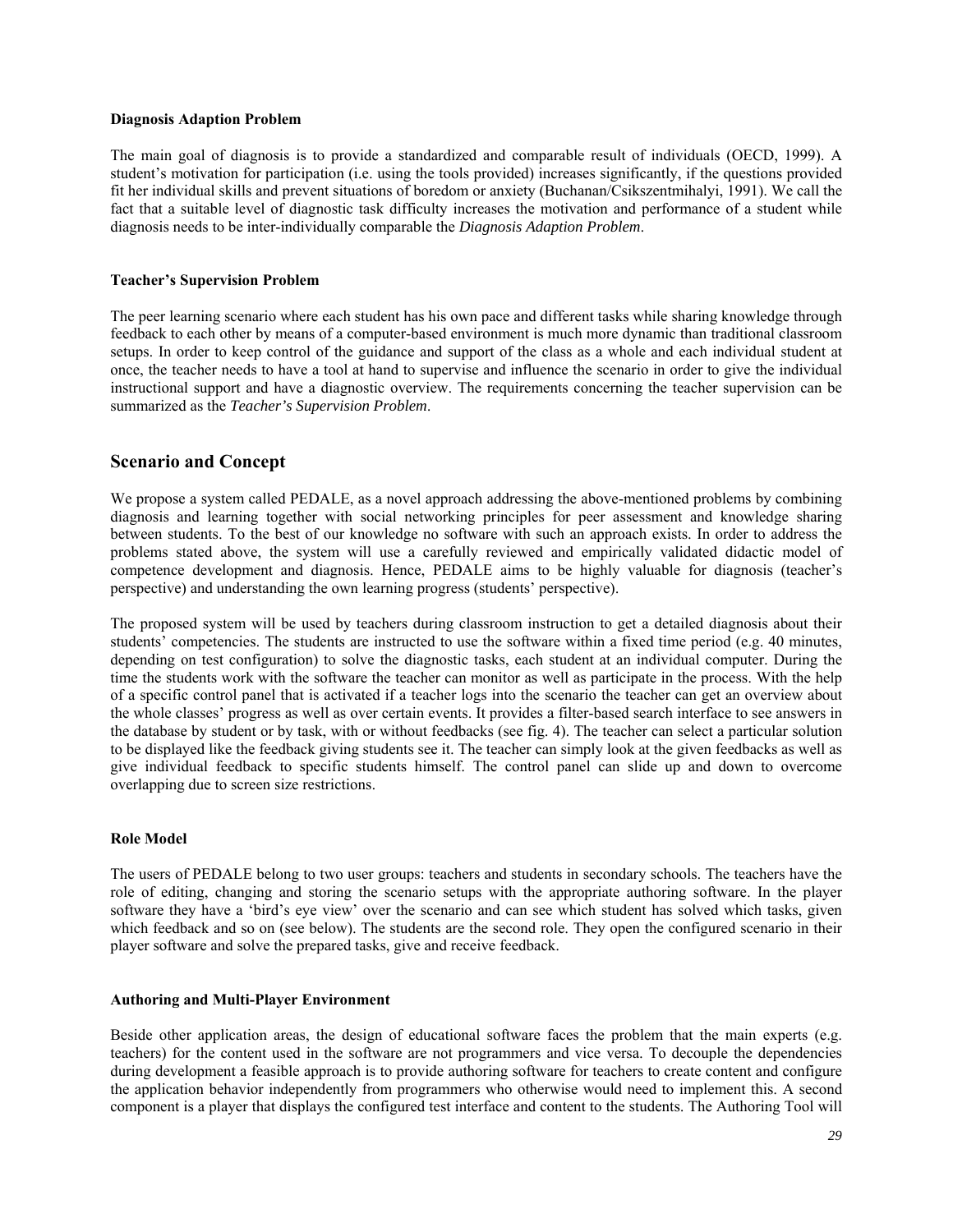#### **Diagnosis Adaption Problem**

The main goal of diagnosis is to provide a standardized and comparable result of individuals (OECD, 1999). A student's motivation for participation (i.e. using the tools provided) increases significantly, if the questions provided fit her individual skills and prevent situations of boredom or anxiety (Buchanan/Csikszentmihalyi, 1991). We call the fact that a suitable level of diagnostic task difficulty increases the motivation and performance of a student while diagnosis needs to be inter-individually comparable the *Diagnosis Adaption Problem*.

#### **Teacher's Supervision Problem**

The peer learning scenario where each student has his own pace and different tasks while sharing knowledge through feedback to each other by means of a computer-based environment is much more dynamic than traditional classroom setups. In order to keep control of the guidance and support of the class as a whole and each individual student at once, the teacher needs to have a tool at hand to supervise and influence the scenario in order to give the individual instructional support and have a diagnostic overview. The requirements concerning the teacher supervision can be summarized as the *Teacher's Supervision Problem*.

### **Scenario and Concept**

We propose a system called PEDALE, as a novel approach addressing the above-mentioned problems by combining diagnosis and learning together with social networking principles for peer assessment and knowledge sharing between students. To the best of our knowledge no software with such an approach exists. In order to address the problems stated above, the system will use a carefully reviewed and empirically validated didactic model of competence development and diagnosis. Hence, PEDALE aims to be highly valuable for diagnosis (teacher's perspective) and understanding the own learning progress (students' perspective).

The proposed system will be used by teachers during classroom instruction to get a detailed diagnosis about their students' competencies. The students are instructed to use the software within a fixed time period (e.g. 40 minutes, depending on test configuration) to solve the diagnostic tasks, each student at an individual computer. During the time the students work with the software the teacher can monitor as well as participate in the process. With the help of a specific control panel that is activated if a teacher logs into the scenario the teacher can get an overview about the whole classes' progress as well as over certain events. It provides a filter-based search interface to see answers in the database by student or by task, with or without feedbacks (see fig. 4). The teacher can select a particular solution to be displayed like the feedback giving students see it. The teacher can simply look at the given feedbacks as well as give individual feedback to specific students himself. The control panel can slide up and down to overcome overlapping due to screen size restrictions.

#### **Role Model**

The users of PEDALE belong to two user groups: teachers and students in secondary schools. The teachers have the role of editing, changing and storing the scenario setups with the appropriate authoring software. In the player software they have a 'bird's eye view' over the scenario and can see which student has solved which tasks, given which feedback and so on (see below). The students are the second role. They open the configured scenario in their player software and solve the prepared tasks, give and receive feedback.

#### **Authoring and Multi-Player Environment**

Beside other application areas, the design of educational software faces the problem that the main experts (e.g. teachers) for the content used in the software are not programmers and vice versa. To decouple the dependencies during development a feasible approach is to provide authoring software for teachers to create content and configure the application behavior independently from programmers who otherwise would need to implement this. A second component is a player that displays the configured test interface and content to the students. The Authoring Tool will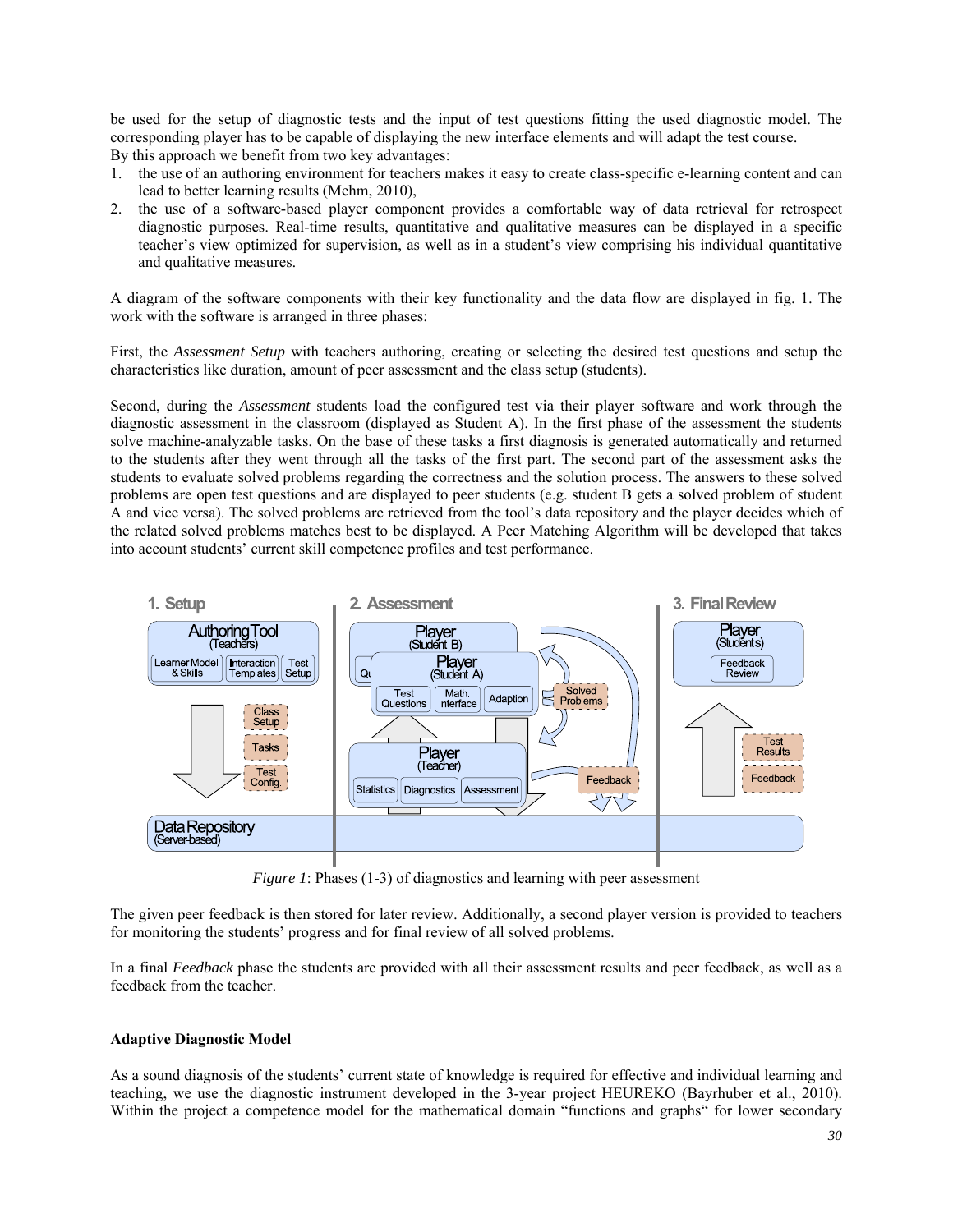be used for the setup of diagnostic tests and the input of test questions fitting the used diagnostic model. The corresponding player has to be capable of displaying the new interface elements and will adapt the test course. By this approach we benefit from two key advantages:

- 1. the use of an authoring environment for teachers makes it easy to create class-specific e-learning content and can lead to better learning results (Mehm, 2010),
- 2. the use of a software-based player component provides a comfortable way of data retrieval for retrospect diagnostic purposes. Real-time results, quantitative and qualitative measures can be displayed in a specific teacher's view optimized for supervision, as well as in a student's view comprising his individual quantitative and qualitative measures.

A diagram of the software components with their key functionality and the data flow are displayed in fig. 1. The work with the software is arranged in three phases:

First, the *Assessment Setup* with teachers authoring, creating or selecting the desired test questions and setup the characteristics like duration, amount of peer assessment and the class setup (students).

Second, during the *Assessment* students load the configured test via their player software and work through the diagnostic assessment in the classroom (displayed as Student A). In the first phase of the assessment the students solve machine-analyzable tasks. On the base of these tasks a first diagnosis is generated automatically and returned to the students after they went through all the tasks of the first part. The second part of the assessment asks the students to evaluate solved problems regarding the correctness and the solution process. The answers to these solved problems are open test questions and are displayed to peer students (e.g. student B gets a solved problem of student A and vice versa). The solved problems are retrieved from the tool's data repository and the player decides which of the related solved problems matches best to be displayed. A Peer Matching Algorithm will be developed that takes into account students' current skill competence profiles and test performance.



*Figure 1*: Phases (1-3) of diagnostics and learning with peer assessment

The given peer feedback is then stored for later review. Additionally, a second player version is provided to teachers for monitoring the students' progress and for final review of all solved problems.

In a final *Feedback* phase the students are provided with all their assessment results and peer feedback, as well as a feedback from the teacher.

#### **Adaptive Diagnostic Model**

As a sound diagnosis of the students' current state of knowledge is required for effective and individual learning and teaching, we use the diagnostic instrument developed in the 3-year project HEUREKO (Bayrhuber et al., 2010). Within the project a competence model for the mathematical domain "functions and graphs" for lower secondary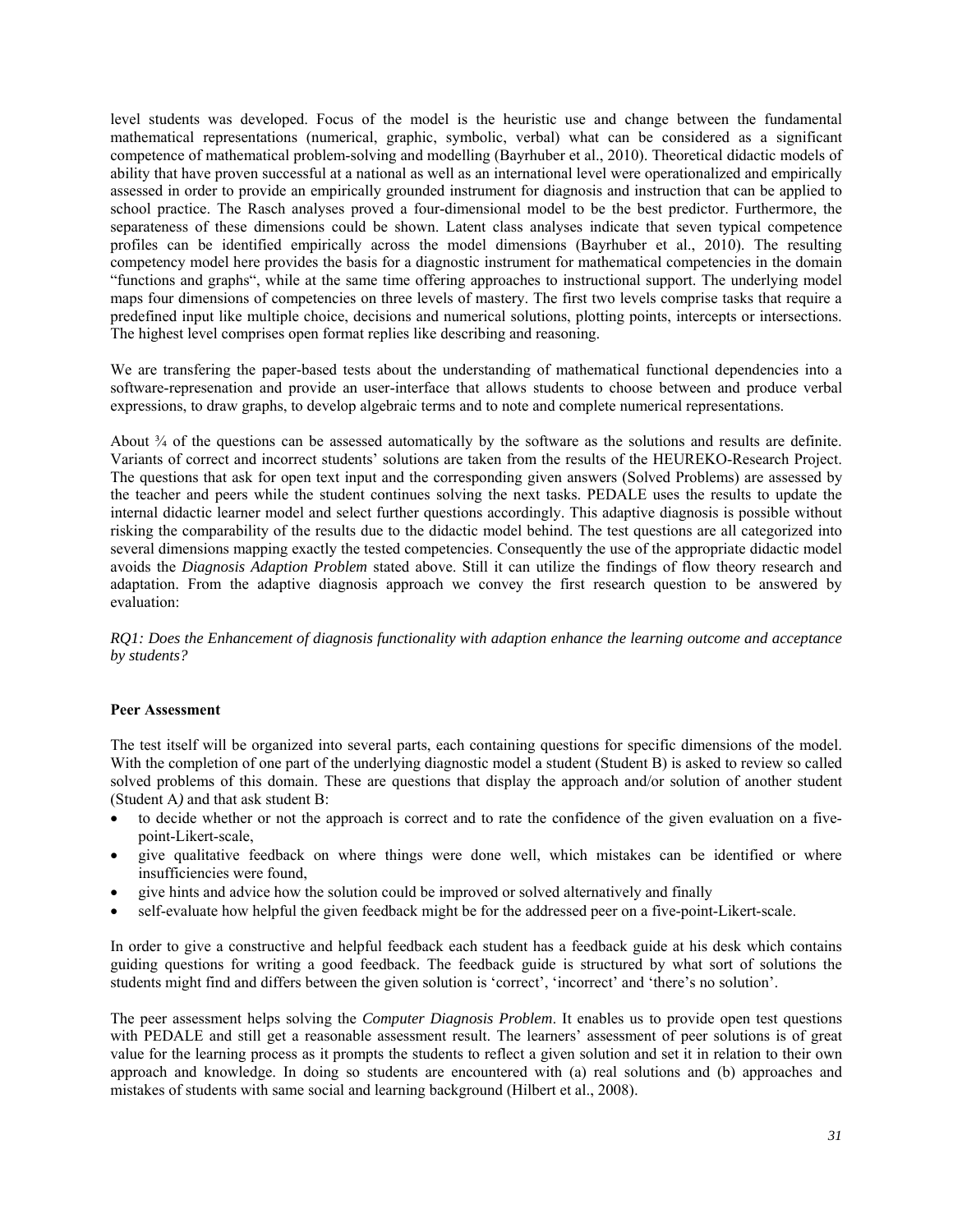level students was developed. Focus of the model is the heuristic use and change between the fundamental mathematical representations (numerical, graphic, symbolic, verbal) what can be considered as a significant competence of mathematical problem-solving and modelling (Bayrhuber et al., 2010). Theoretical didactic models of ability that have proven successful at a national as well as an international level were operationalized and empirically assessed in order to provide an empirically grounded instrument for diagnosis and instruction that can be applied to school practice. The Rasch analyses proved a four-dimensional model to be the best predictor. Furthermore, the separateness of these dimensions could be shown. Latent class analyses indicate that seven typical competence profiles can be identified empirically across the model dimensions (Bayrhuber et al., 2010). The resulting competency model here provides the basis for a diagnostic instrument for mathematical competencies in the domain "functions and graphs", while at the same time offering approaches to instructional support. The underlying model maps four dimensions of competencies on three levels of mastery. The first two levels comprise tasks that require a predefined input like multiple choice, decisions and numerical solutions, plotting points, intercepts or intersections. The highest level comprises open format replies like describing and reasoning.

We are transfering the paper-based tests about the understanding of mathematical functional dependencies into a software-represenation and provide an user-interface that allows students to choose between and produce verbal expressions, to draw graphs, to develop algebraic terms and to note and complete numerical representations.

About  $\frac{3}{4}$  of the questions can be assessed automatically by the software as the solutions and results are definite. Variants of correct and incorrect students' solutions are taken from the results of the HEUREKO-Research Project. The questions that ask for open text input and the corresponding given answers (Solved Problems) are assessed by the teacher and peers while the student continues solving the next tasks. PEDALE uses the results to update the internal didactic learner model and select further questions accordingly. This adaptive diagnosis is possible without risking the comparability of the results due to the didactic model behind. The test questions are all categorized into several dimensions mapping exactly the tested competencies. Consequently the use of the appropriate didactic model avoids the *Diagnosis Adaption Problem* stated above. Still it can utilize the findings of flow theory research and adaptation. From the adaptive diagnosis approach we convey the first research question to be answered by evaluation:

*RQ1: Does the Enhancement of diagnosis functionality with adaption enhance the learning outcome and acceptance by students?* 

#### **Peer Assessment**

The test itself will be organized into several parts, each containing questions for specific dimensions of the model. With the completion of one part of the underlying diagnostic model a student (Student B) is asked to review so called solved problems of this domain. These are questions that display the approach and/or solution of another student (Student A*)* and that ask student B:

- to decide whether or not the approach is correct and to rate the confidence of the given evaluation on a fivepoint-Likert-scale,
- give qualitative feedback on where things were done well, which mistakes can be identified or where insufficiencies were found,
- give hints and advice how the solution could be improved or solved alternatively and finally
- self-evaluate how helpful the given feedback might be for the addressed peer on a five-point-Likert-scale.

In order to give a constructive and helpful feedback each student has a feedback guide at his desk which contains guiding questions for writing a good feedback. The feedback guide is structured by what sort of solutions the students might find and differs between the given solution is 'correct', 'incorrect' and 'there's no solution'.

The peer assessment helps solving the *Computer Diagnosis Problem*. It enables us to provide open test questions with PEDALE and still get a reasonable assessment result. The learners' assessment of peer solutions is of great value for the learning process as it prompts the students to reflect a given solution and set it in relation to their own approach and knowledge. In doing so students are encountered with (a) real solutions and (b) approaches and mistakes of students with same social and learning background (Hilbert et al., 2008).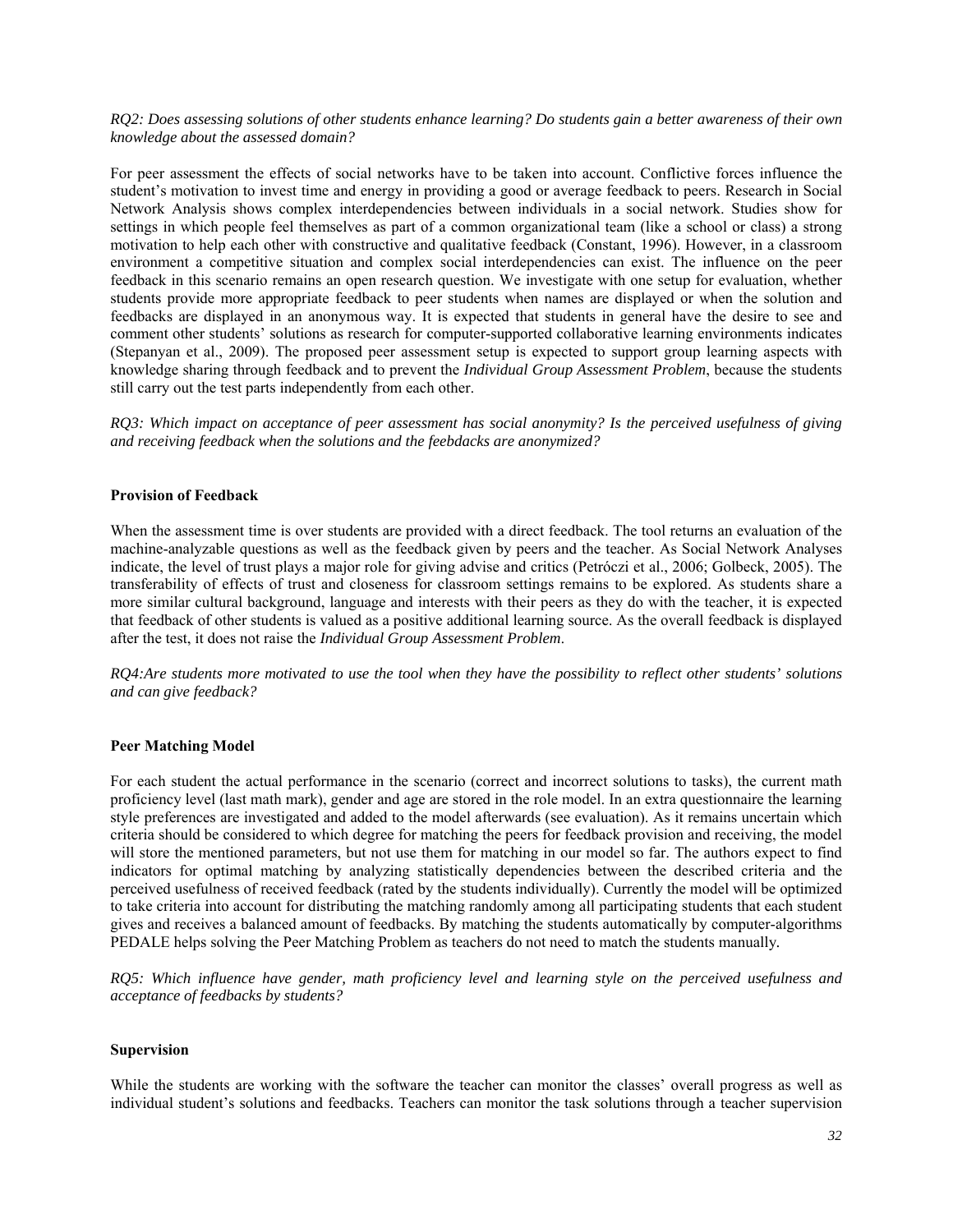#### *RQ2: Does assessing solutions of other students enhance learning? Do students gain a better awareness of their own knowledge about the assessed domain?*

For peer assessment the effects of social networks have to be taken into account. Conflictive forces influence the student's motivation to invest time and energy in providing a good or average feedback to peers. Research in Social Network Analysis shows complex interdependencies between individuals in a social network. Studies show for settings in which people feel themselves as part of a common organizational team (like a school or class) a strong motivation to help each other with constructive and qualitative feedback (Constant, 1996). However, in a classroom environment a competitive situation and complex social interdependencies can exist. The influence on the peer feedback in this scenario remains an open research question. We investigate with one setup for evaluation, whether students provide more appropriate feedback to peer students when names are displayed or when the solution and feedbacks are displayed in an anonymous way. It is expected that students in general have the desire to see and comment other students' solutions as research for computer-supported collaborative learning environments indicates (Stepanyan et al., 2009). The proposed peer assessment setup is expected to support group learning aspects with knowledge sharing through feedback and to prevent the *Individual Group Assessment Problem*, because the students still carry out the test parts independently from each other.

*RQ3: Which impact on acceptance of peer assessment has social anonymity? Is the perceived usefulness of giving and receiving feedback when the solutions and the feebdacks are anonymized?* 

#### **Provision of Feedback**

When the assessment time is over students are provided with a direct feedback. The tool returns an evaluation of the machine-analyzable questions as well as the feedback given by peers and the teacher. As Social Network Analyses indicate, the level of trust plays a major role for giving advise and critics (Petróczi et al., 2006; Golbeck, 2005). The transferability of effects of trust and closeness for classroom settings remains to be explored. As students share a more similar cultural background, language and interests with their peers as they do with the teacher, it is expected that feedback of other students is valued as a positive additional learning source. As the overall feedback is displayed after the test, it does not raise the *Individual Group Assessment Problem*.

*RQ4:Are students more motivated to use the tool when they have the possibility to reflect other students' solutions and can give feedback?* 

#### **Peer Matching Model**

For each student the actual performance in the scenario (correct and incorrect solutions to tasks), the current math proficiency level (last math mark), gender and age are stored in the role model. In an extra questionnaire the learning style preferences are investigated and added to the model afterwards (see evaluation). As it remains uncertain which criteria should be considered to which degree for matching the peers for feedback provision and receiving, the model will store the mentioned parameters, but not use them for matching in our model so far. The authors expect to find indicators for optimal matching by analyzing statistically dependencies between the described criteria and the perceived usefulness of received feedback (rated by the students individually). Currently the model will be optimized to take criteria into account for distributing the matching randomly among all participating students that each student gives and receives a balanced amount of feedbacks. By matching the students automatically by computer-algorithms PEDALE helps solving the Peer Matching Problem as teachers do not need to match the students manually*.* 

*RQ5: Which influence have gender, math proficiency level and learning style on the perceived usefulness and acceptance of feedbacks by students?* 

#### **Supervision**

While the students are working with the software the teacher can monitor the classes' overall progress as well as individual student's solutions and feedbacks. Teachers can monitor the task solutions through a teacher supervision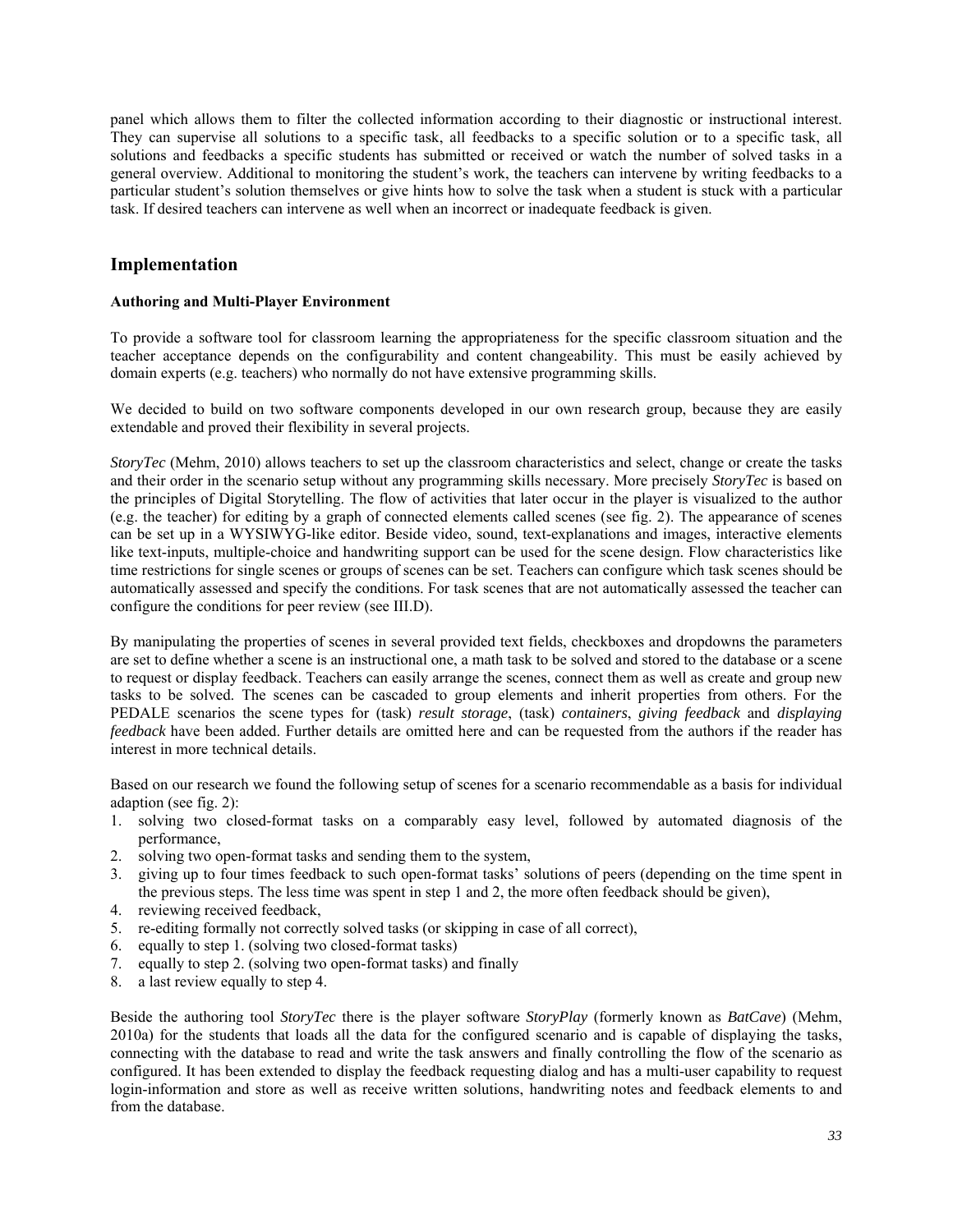panel which allows them to filter the collected information according to their diagnostic or instructional interest. They can supervise all solutions to a specific task, all feedbacks to a specific solution or to a specific task, all solutions and feedbacks a specific students has submitted or received or watch the number of solved tasks in a general overview. Additional to monitoring the student's work, the teachers can intervene by writing feedbacks to a particular student's solution themselves or give hints how to solve the task when a student is stuck with a particular task. If desired teachers can intervene as well when an incorrect or inadequate feedback is given.

### **Implementation**

#### **Authoring and Multi-Player Environment**

To provide a software tool for classroom learning the appropriateness for the specific classroom situation and the teacher acceptance depends on the configurability and content changeability. This must be easily achieved by domain experts (e.g. teachers) who normally do not have extensive programming skills.

We decided to build on two software components developed in our own research group, because they are easily extendable and proved their flexibility in several projects.

*StoryTec* (Mehm, 2010) allows teachers to set up the classroom characteristics and select, change or create the tasks and their order in the scenario setup without any programming skills necessary. More precisely *StoryTec* is based on the principles of Digital Storytelling. The flow of activities that later occur in the player is visualized to the author (e.g. the teacher) for editing by a graph of connected elements called scenes (see fig. 2). The appearance of scenes can be set up in a WYSIWYG-like editor. Beside video, sound, text-explanations and images, interactive elements like text-inputs, multiple-choice and handwriting support can be used for the scene design. Flow characteristics like time restrictions for single scenes or groups of scenes can be set. Teachers can configure which task scenes should be automatically assessed and specify the conditions. For task scenes that are not automatically assessed the teacher can configure the conditions for peer review (see III.D).

By manipulating the properties of scenes in several provided text fields, checkboxes and dropdowns the parameters are set to define whether a scene is an instructional one, a math task to be solved and stored to the database or a scene to request or display feedback. Teachers can easily arrange the scenes, connect them as well as create and group new tasks to be solved. The scenes can be cascaded to group elements and inherit properties from others. For the PEDALE scenarios the scene types for (task) *result storage*, (task) *containers*, *giving feedback* and *displaying feedback* have been added. Further details are omitted here and can be requested from the authors if the reader has interest in more technical details.

Based on our research we found the following setup of scenes for a scenario recommendable as a basis for individual adaption (see fig. 2):

- 1. solving two closed-format tasks on a comparably easy level, followed by automated diagnosis of the performance,
- 2. solving two open-format tasks and sending them to the system,
- 3. giving up to four times feedback to such open-format tasks' solutions of peers (depending on the time spent in the previous steps. The less time was spent in step 1 and 2, the more often feedback should be given),
- 4. reviewing received feedback,
- 5. re-editing formally not correctly solved tasks (or skipping in case of all correct),
- 6. equally to step 1. (solving two closed-format tasks)
- 7. equally to step 2. (solving two open-format tasks) and finally
- 8. a last review equally to step 4.

Beside the authoring tool *StoryTec* there is the player software *StoryPlay* (formerly known as *BatCave*) (Mehm, 2010a) for the students that loads all the data for the configured scenario and is capable of displaying the tasks, connecting with the database to read and write the task answers and finally controlling the flow of the scenario as configured. It has been extended to display the feedback requesting dialog and has a multi-user capability to request login-information and store as well as receive written solutions, handwriting notes and feedback elements to and from the database.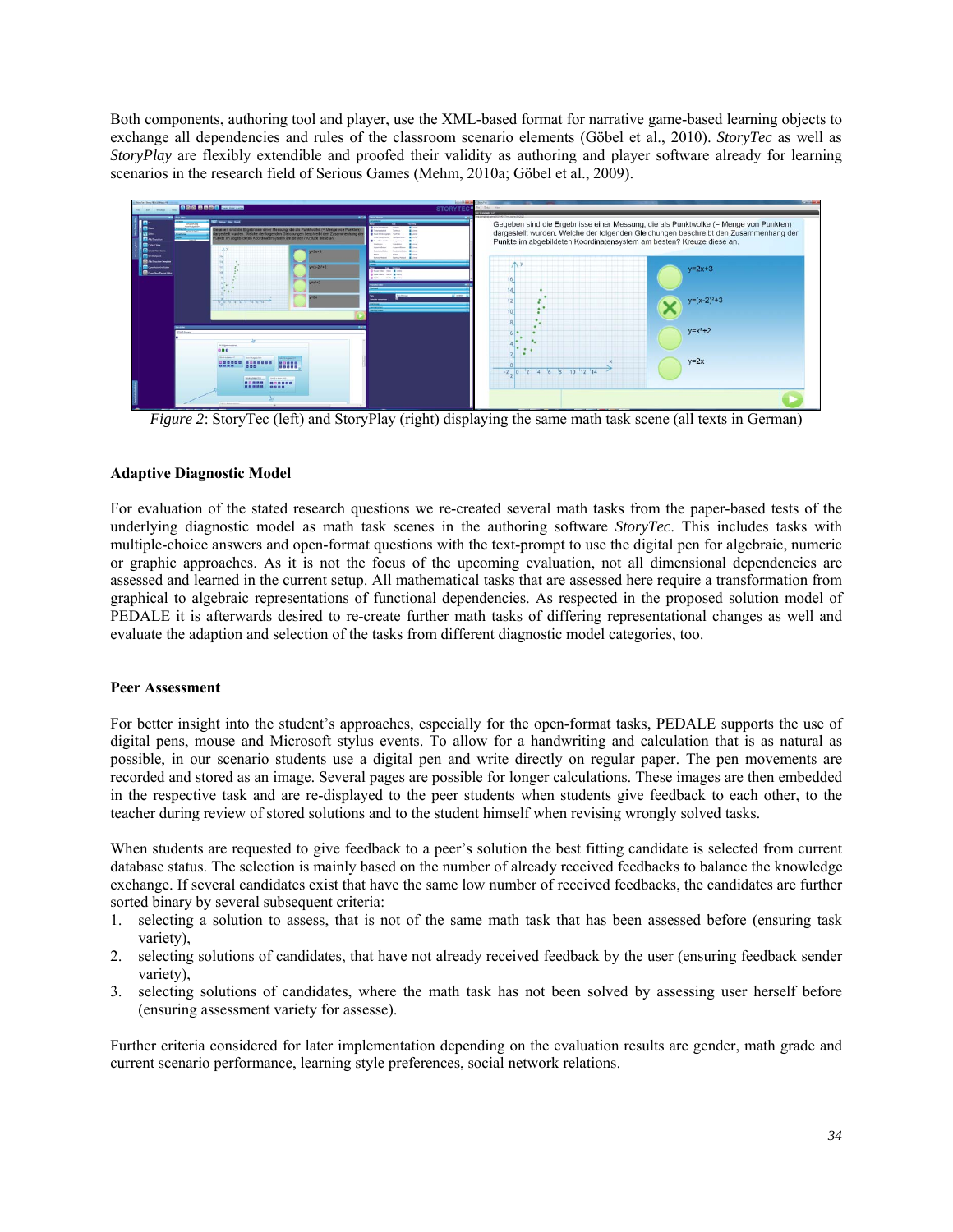Both components, authoring tool and player, use the XML-based format for narrative game-based learning objects to exchange all dependencies and rules of the classroom scenario elements (Göbel et al., 2010). *StoryTec* as well as *StoryPlay* are flexibly extendible and proofed their validity as authoring and player software already for learning scenarios in the research field of Serious Games (Mehm, 2010a; Göbel et al., 2009).



*Figure 2*: StoryTec (left) and StoryPlay (right) displaying the same math task scene (all texts in German)

#### **Adaptive Diagnostic Model**

For evaluation of the stated research questions we re-created several math tasks from the paper-based tests of the underlying diagnostic model as math task scenes in the authoring software *StoryTec*. This includes tasks with multiple-choice answers and open-format questions with the text-prompt to use the digital pen for algebraic, numeric or graphic approaches. As it is not the focus of the upcoming evaluation, not all dimensional dependencies are assessed and learned in the current setup. All mathematical tasks that are assessed here require a transformation from graphical to algebraic representations of functional dependencies. As respected in the proposed solution model of PEDALE it is afterwards desired to re-create further math tasks of differing representational changes as well and evaluate the adaption and selection of the tasks from different diagnostic model categories, too.

#### **Peer Assessment**

For better insight into the student's approaches, especially for the open-format tasks, PEDALE supports the use of digital pens, mouse and Microsoft stylus events. To allow for a handwriting and calculation that is as natural as possible, in our scenario students use a digital pen and write directly on regular paper. The pen movements are recorded and stored as an image. Several pages are possible for longer calculations. These images are then embedded in the respective task and are re-displayed to the peer students when students give feedback to each other, to the teacher during review of stored solutions and to the student himself when revising wrongly solved tasks.

When students are requested to give feedback to a peer's solution the best fitting candidate is selected from current database status. The selection is mainly based on the number of already received feedbacks to balance the knowledge exchange. If several candidates exist that have the same low number of received feedbacks, the candidates are further sorted binary by several subsequent criteria:

- 1. selecting a solution to assess, that is not of the same math task that has been assessed before (ensuring task variety),
- 2. selecting solutions of candidates, that have not already received feedback by the user (ensuring feedback sender variety),
- 3. selecting solutions of candidates, where the math task has not been solved by assessing user herself before (ensuring assessment variety for assesse).

Further criteria considered for later implementation depending on the evaluation results are gender, math grade and current scenario performance, learning style preferences, social network relations.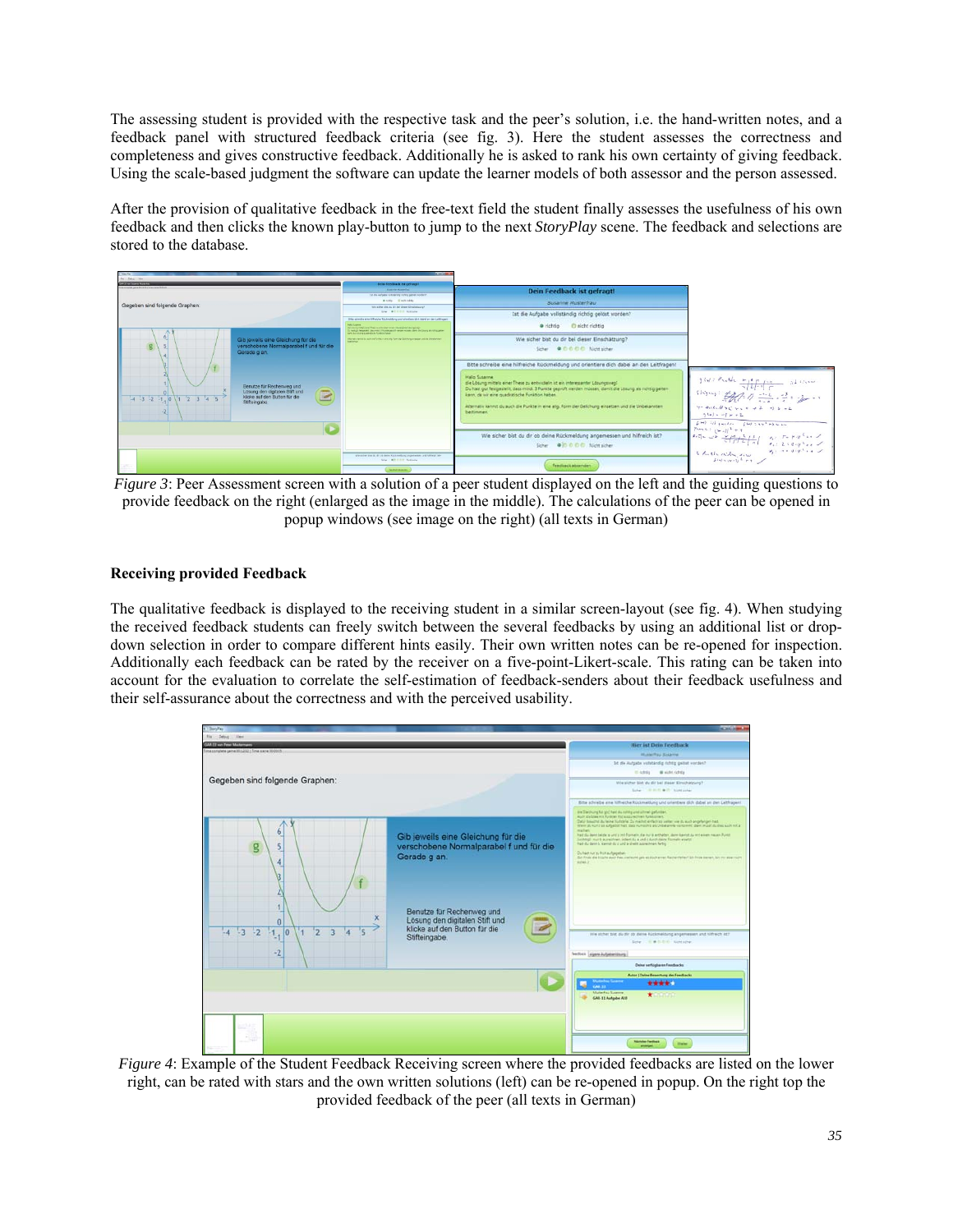The assessing student is provided with the respective task and the peer's solution, i.e. the hand-written notes, and a feedback panel with structured feedback criteria (see fig. 3). Here the student assesses the correctness and completeness and gives constructive feedback. Additionally he is asked to rank his own certainty of giving feedback. Using the scale-based judgment the software can update the learner models of both assessor and the person assessed.

After the provision of qualitative feedback in the free-text field the student finally assesses the usefulness of his own feedback and then clicks the known play-button to jump to the next *StoryPlay* scene. The feedback and selections are stored to the database.



*Figure 3*: Peer Assessment screen with a solution of a peer student displayed on the left and the guiding questions to provide feedback on the right (enlarged as the image in the middle). The calculations of the peer can be opened in popup windows (see image on the right) (all texts in German)

### **Receiving provided Feedback**

The qualitative feedback is displayed to the receiving student in a similar screen-layout (see fig. 4). When studying the received feedback students can freely switch between the several feedbacks by using an additional list or dropdown selection in order to compare different hints easily. Their own written notes can be re-opened for inspection. Additionally each feedback can be rated by the receiver on a five-point-Likert-scale. This rating can be taken into account for the evaluation to correlate the self-estimation of feedback-senders about their feedback usefulness and their self-assurance about the correctness and with the perceived usability.



*Figure 4*: Example of the Student Feedback Receiving screen where the provided feedbacks are listed on the lower right, can be rated with stars and the own written solutions (left) can be re-opened in popup. On the right top the provided feedback of the peer (all texts in German)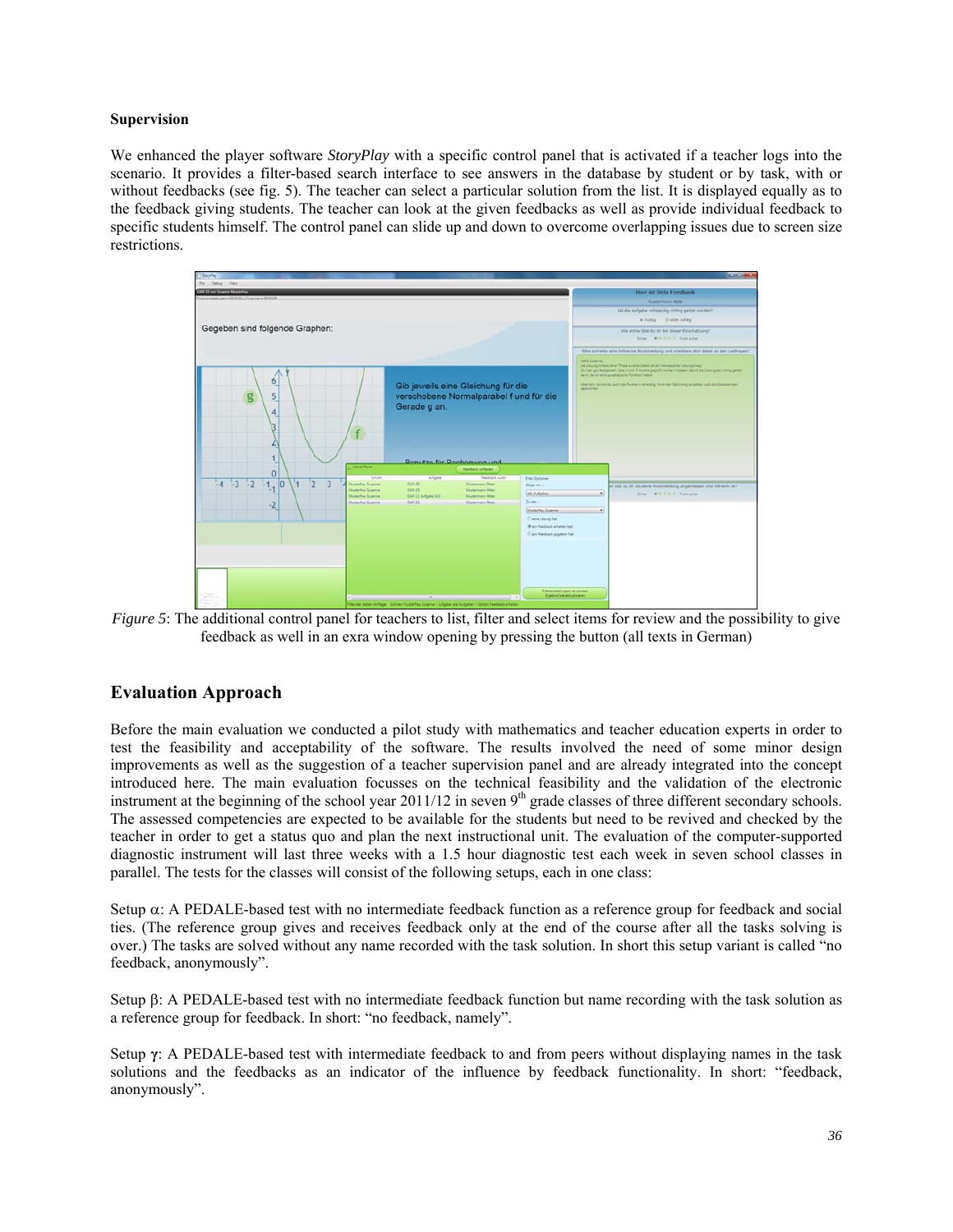#### **Supervision**

We enhanced the player software *StoryPlay* with a specific control panel that is activated if a teacher logs into the scenario. It provides a filter-based search interface to see answers in the database by student or by task, with or without feedbacks (see fig. 5). The teacher can select a particular solution from the list. It is displayed equally as to the feedback giving students. The teacher can look at the given feedbacks as well as provide individual feedback to specific students himself. The control panel can slide up and down to overcome overlapping issues due to screen size restrictions.



*Figure 5*: The additional control panel for teachers to list, filter and select items for review and the possibility to give feedback as well in an exra window opening by pressing the button (all texts in German)

## **Evaluation Approach**

Before the main evaluation we conducted a pilot study with mathematics and teacher education experts in order to test the feasibility and acceptability of the software. The results involved the need of some minor design improvements as well as the suggestion of a teacher supervision panel and are already integrated into the concept introduced here. The main evaluation focusses on the technical feasibility and the validation of the electronic instrument at the beginning of the school year  $2011/12$  in seven  $9<sup>th</sup>$  grade classes of three different secondary schools. The assessed competencies are expected to be available for the students but need to be revived and checked by the teacher in order to get a status quo and plan the next instructional unit. The evaluation of the computer-supported diagnostic instrument will last three weeks with a 1.5 hour diagnostic test each week in seven school classes in parallel. The tests for the classes will consist of the following setups, each in one class:

Setup  $\alpha$ : A PEDALE-based test with no intermediate feedback function as a reference group for feedback and social ties. (The reference group gives and receives feedback only at the end of the course after all the tasks solving is over.) The tasks are solved without any name recorded with the task solution. In short this setup variant is called "no feedback, anonymously".

Setup  $\beta$ : A PEDALE-based test with no intermediate feedback function but name recording with the task solution as a reference group for feedback. In short: "no feedback, namely".

Setup **γ**: A PEDALE-based test with intermediate feedback to and from peers without displaying names in the task solutions and the feedbacks as an indicator of the influence by feedback functionality. In short: "feedback, anonymously".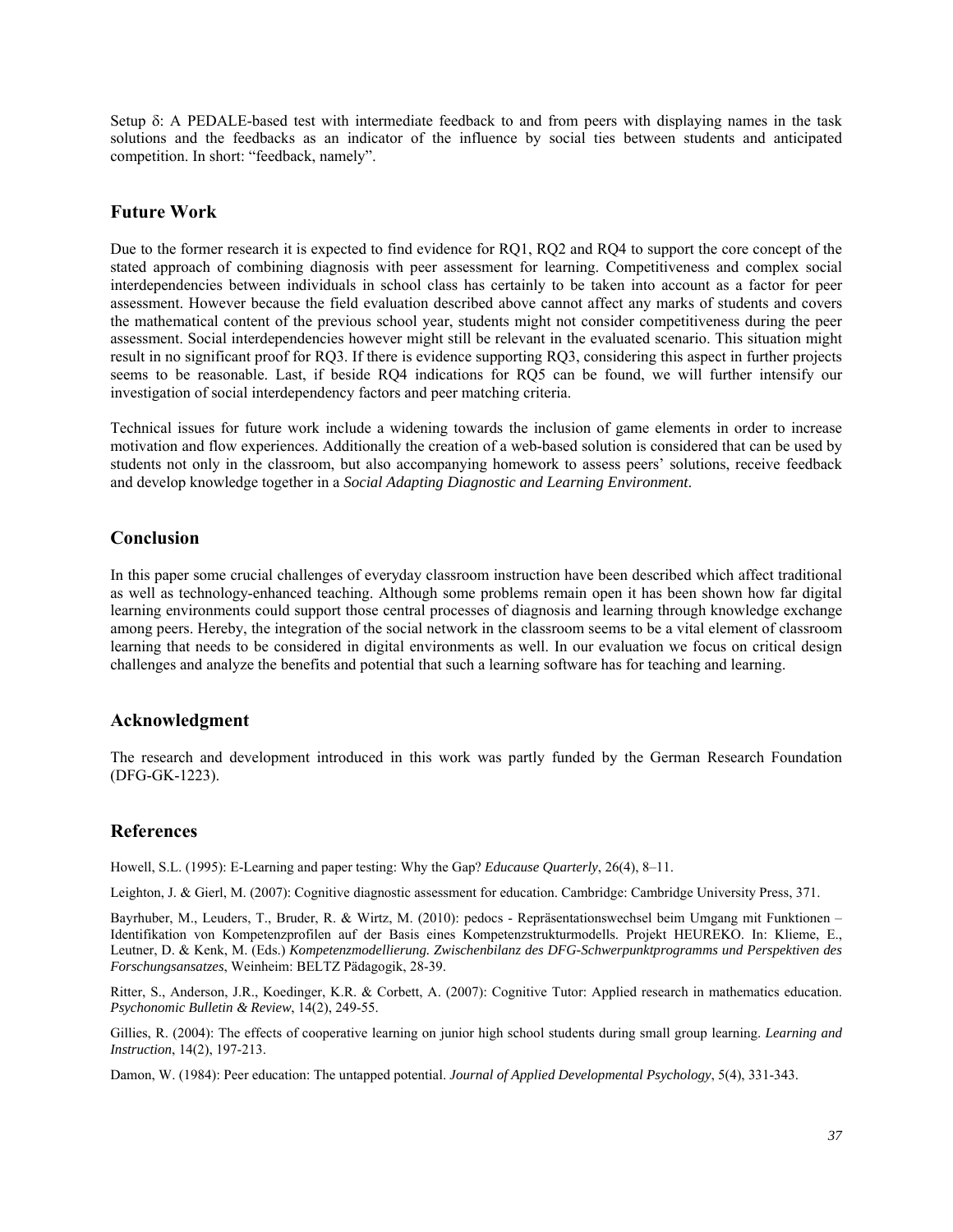Setup  $\delta$ : A PEDALE-based test with intermediate feedback to and from peers with displaying names in the task solutions and the feedbacks as an indicator of the influence by social ties between students and anticipated competition. In short: "feedback, namely".

### **Future Work**

Due to the former research it is expected to find evidence for RQ1, RQ2 and RQ4 to support the core concept of the stated approach of combining diagnosis with peer assessment for learning. Competitiveness and complex social interdependencies between individuals in school class has certainly to be taken into account as a factor for peer assessment. However because the field evaluation described above cannot affect any marks of students and covers the mathematical content of the previous school year, students might not consider competitiveness during the peer assessment. Social interdependencies however might still be relevant in the evaluated scenario. This situation might result in no significant proof for RQ3. If there is evidence supporting RQ3, considering this aspect in further projects seems to be reasonable. Last, if beside RQ4 indications for RQ5 can be found, we will further intensify our investigation of social interdependency factors and peer matching criteria.

Technical issues for future work include a widening towards the inclusion of game elements in order to increase motivation and flow experiences. Additionally the creation of a web-based solution is considered that can be used by students not only in the classroom, but also accompanying homework to assess peers' solutions, receive feedback and develop knowledge together in a *Social Adapting Diagnostic and Learning Environment*.

### **Conclusion**

In this paper some crucial challenges of everyday classroom instruction have been described which affect traditional as well as technology-enhanced teaching. Although some problems remain open it has been shown how far digital learning environments could support those central processes of diagnosis and learning through knowledge exchange among peers. Hereby, the integration of the social network in the classroom seems to be a vital element of classroom learning that needs to be considered in digital environments as well. In our evaluation we focus on critical design challenges and analyze the benefits and potential that such a learning software has for teaching and learning.

### **Acknowledgment**

The research and development introduced in this work was partly funded by the German Research Foundation (DFG-GK-1223).

### **References**

Howell, S.L. (1995): E-Learning and paper testing: Why the Gap? *Educause Quarterly*, 26(4), 8–11.

Leighton, J. & Gierl, M. (2007): Cognitive diagnostic assessment for education. Cambridge: Cambridge University Press, 371.

Bayrhuber, M., Leuders, T., Bruder, R. & Wirtz, M. (2010): pedocs - Repräsentationswechsel beim Umgang mit Funktionen – Identifikation von Kompetenzprofilen auf der Basis eines Kompetenzstrukturmodells. Projekt HEUREKO. In: Klieme, E., Leutner, D. & Kenk, M. (Eds.) *Kompetenzmodellierung. Zwischenbilanz des DFG-Schwerpunktprogramms und Perspektiven des Forschungsansatzes*, Weinheim: BELTZ Pädagogik, 28-39.

Ritter, S., Anderson, J.R., Koedinger, K.R. & Corbett, A. (2007): Cognitive Tutor: Applied research in mathematics education. *Psychonomic Bulletin & Review*, 14(2), 249-55.

Gillies, R. (2004): The effects of cooperative learning on junior high school students during small group learning. *Learning and Instruction*, 14(2), 197-213.

Damon, W. (1984): Peer education: The untapped potential. *Journal of Applied Developmental Psychology*, 5(4), 331-343.